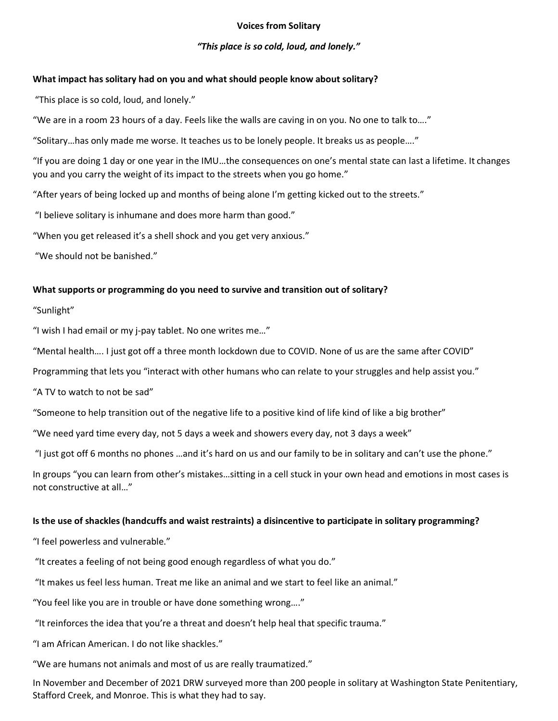### **Voices from Solitary**

# *"This place is so cold, loud, and lonely."*

# **What impact has solitary had on you and what should people know about solitary?**

"This place is so cold, loud, and lonely."

"We are in a room 23 hours of a day. Feels like the walls are caving in on you. No one to talk to…."

"Solitary…has only made me worse. It teaches us to be lonely people. It breaks us as people…."

"If you are doing 1 day or one year in the IMU…the consequences on one's mental state can last a lifetime. It changes you and you carry the weight of its impact to the streets when you go home."

"After years of being locked up and months of being alone I'm getting kicked out to the streets."

"I believe solitary is inhumane and does more harm than good."

"When you get released it's a shell shock and you get very anxious."

"We should not be banished."

## **What supports or programming do you need to survive and transition out of solitary?**

"Sunlight"

"I wish I had email or my j-pay tablet. No one writes me…"

"Mental health…. I just got off a three month lockdown due to COVID. None of us are the same after COVID"

Programming that lets you "interact with other humans who can relate to your struggles and help assist you."

"A TV to watch to not be sad"

"Someone to help transition out of the negative life to a positive kind of life kind of like a big brother"

"We need yard time every day, not 5 days a week and showers every day, not 3 days a week"

"I just got off 6 months no phones ...and it's hard on us and our family to be in solitary and can't use the phone."

In groups "you can learn from other's mistakes…sitting in a cell stuck in your own head and emotions in most cases is not constructive at all…"

## **Is the use of shackles (handcuffs and waist restraints) a disincentive to participate in solitary programming?**

"I feel powerless and vulnerable."

"It creates a feeling of not being good enough regardless of what you do."

"It makes us feel less human. Treat me like an animal and we start to feel like an animal."

"You feel like you are in trouble or have done something wrong…."

"It reinforces the idea that you're a threat and doesn't help heal that specific trauma."

"I am African American. I do not like shackles."

"We are humans not animals and most of us are really traumatized."

In November and December of 2021 DRW surveyed more than 200 people in solitary at Washington State Penitentiary, Stafford Creek, and Monroe. This is what they had to say.